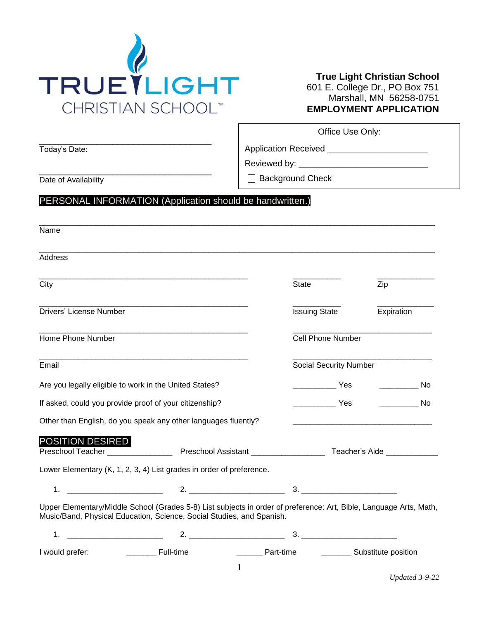

### **True Light Christian School** 601 E. College Dr., PO Box 751 Marshall, MN 56258-0751 **EMPLOYMENT APPLICATION**

|                         |                                                                                                                                                                                             | Office Use Only:                                                       |                                                       |
|-------------------------|---------------------------------------------------------------------------------------------------------------------------------------------------------------------------------------------|------------------------------------------------------------------------|-------------------------------------------------------|
| Today's Date:           |                                                                                                                                                                                             | Application Received _____________________________                     |                                                       |
|                         |                                                                                                                                                                                             |                                                                        |                                                       |
| Date of Availability    |                                                                                                                                                                                             | <b>Background Check</b>                                                |                                                       |
|                         | PERSONAL INFORMATION (Application should be handwritten.)                                                                                                                                   |                                                                        |                                                       |
|                         |                                                                                                                                                                                             |                                                                        |                                                       |
| Name                    |                                                                                                                                                                                             |                                                                        |                                                       |
| <b>Address</b>          |                                                                                                                                                                                             |                                                                        |                                                       |
| City                    |                                                                                                                                                                                             | State                                                                  | Zip                                                   |
| Drivers' License Number |                                                                                                                                                                                             | <b>Issuing State</b>                                                   | Expiration                                            |
| Home Phone Number       |                                                                                                                                                                                             | Cell Phone Number                                                      |                                                       |
| Email                   |                                                                                                                                                                                             | <b>Social Security Number</b>                                          |                                                       |
|                         | Are you legally eligible to work in the United States?                                                                                                                                      | <b>Example 2</b> Yes                                                   | $\overline{\phantom{a}}$ No                           |
|                         | If asked, could you provide proof of your citizenship?                                                                                                                                      | $\overline{\phantom{a}}$ Yes                                           | $\overline{\phantom{a}}$ No                           |
|                         | Other than English, do you speak any other languages fluently?                                                                                                                              |                                                                        |                                                       |
| <b>POSITION DESIRED</b> |                                                                                                                                                                                             |                                                                        |                                                       |
|                         | Lower Elementary (K, 1, 2, 3, 4) List grades in order of preference.                                                                                                                        |                                                                        |                                                       |
| 1.                      |                                                                                                                                                                                             |                                                                        |                                                       |
|                         | Upper Elementary/Middle School (Grades 5-8) List subjects in order of preference: Art, Bible, Language Arts, Math,<br>Music/Band, Physical Education, Science, Social Studies, and Spanish. |                                                                        |                                                       |
| 1.                      |                                                                                                                                                                                             | $\begin{array}{c} \n3. \begin{array}{ccc} \n\end{array} \n\end{array}$ |                                                       |
|                         |                                                                                                                                                                                             |                                                                        | _________ Part-time _____________ Substitute position |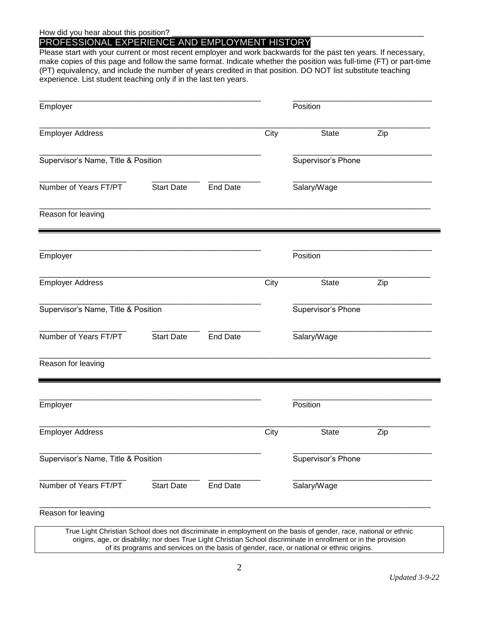### PROFESSIONAL EXPERIENCE AND EMPLOYMENT HISTORY

Please start with your current or most recent employer and work backwards for the past ten years. If necessary, make copies of this page and follow the same format. Indicate whether the position was full-time (FT) or part-time (PT) equivalency, and include the number of years credited in that position. DO NOT list substitute teaching experience. List student teaching only if in the last ten years.

|                   |                                                                                                                   |      | Position           |     |
|-------------------|-------------------------------------------------------------------------------------------------------------------|------|--------------------|-----|
|                   |                                                                                                                   | City | <b>State</b>       | Zip |
|                   |                                                                                                                   |      | Supervisor's Phone |     |
| <b>Start Date</b> | <b>End Date</b>                                                                                                   |      | Salary/Wage        |     |
|                   |                                                                                                                   |      |                    |     |
|                   |                                                                                                                   |      | Position           |     |
|                   |                                                                                                                   | City | <b>State</b>       | Zip |
|                   |                                                                                                                   |      | Supervisor's Phone |     |
| <b>Start Date</b> | <b>End Date</b>                                                                                                   |      | Salary/Wage        |     |
|                   |                                                                                                                   |      |                    |     |
|                   |                                                                                                                   |      | Position           |     |
|                   |                                                                                                                   | City | <b>State</b>       | Zip |
|                   |                                                                                                                   |      | Supervisor's Phone |     |
| <b>Start Date</b> | <b>End Date</b>                                                                                                   |      | Salary/Wage        |     |
|                   |                                                                                                                   |      |                    |     |
|                   | Supervisor's Name, Title & Position<br>Supervisor's Name, Title & Position<br>Supervisor's Name, Title & Position |      |                    |     |

of its programs and services on the basis of gender, race, or national or ethnic origins.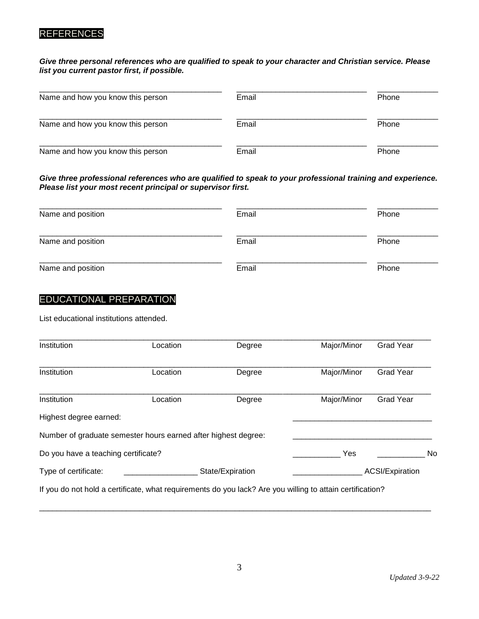# REFERENCES

### *Give three personal references who are qualified to speak to your character and Christian service. Please list you current pastor first, if possible.*

| Name and how you know this person | Email | Phone |
|-----------------------------------|-------|-------|
| Name and how you know this person | Email | Phone |
| Name and how you know this person | Email | Phone |

*Give three professional references who are qualified to speak to your professional training and experience. Please list your most recent principal or supervisor first.* 

| Name and position | Email | Phone |
|-------------------|-------|-------|
| Name and position | Email | Phone |
| Name and position | Email | Phone |

# EDUCATIONAL PREPARATION

List educational institutions attended.

| Major/Minor<br>Institution<br>Location<br>Degree<br>Institution<br>Major/Minor<br>Location<br>Degree<br>Institution<br>Major/Minor<br>Location<br>Degree<br>Highest degree earned: | <b>Grad Year</b>       |
|------------------------------------------------------------------------------------------------------------------------------------------------------------------------------------|------------------------|
|                                                                                                                                                                                    |                        |
|                                                                                                                                                                                    | Grad Year              |
|                                                                                                                                                                                    | <b>Grad Year</b>       |
|                                                                                                                                                                                    |                        |
| Number of graduate semester hours earned after highest degree:                                                                                                                     |                        |
| Yes<br>Do you have a teaching certificate?                                                                                                                                         | No                     |
| Type of certificate:<br>State/Expiration                                                                                                                                           | <b>ACSI/Expiration</b> |
| If you do not hold a certificate, what requirements do you lack? Are you willing to attain certification?                                                                          |                        |

\_\_\_\_\_\_\_\_\_\_\_\_\_\_\_\_\_\_\_\_\_\_\_\_\_\_\_\_\_\_\_\_\_\_\_\_\_\_\_\_\_\_\_\_\_\_\_\_\_\_\_\_\_\_\_\_\_\_\_\_\_\_\_\_\_\_\_\_\_\_\_\_\_\_\_\_\_\_\_\_\_\_\_\_\_\_\_\_\_\_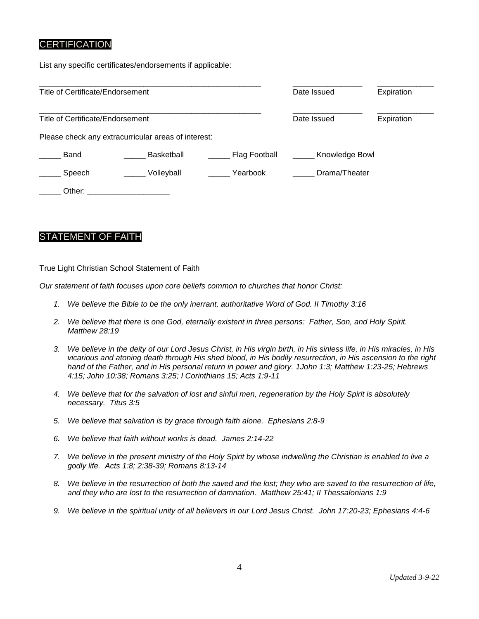## **CERTIFICATION**

List any specific certificates/endorsements if applicable:

| <b>Title of Certificate/Endorsement</b> |                                                     |               | Date Issued    | Expiration |
|-----------------------------------------|-----------------------------------------------------|---------------|----------------|------------|
| Title of Certificate/Endorsement        |                                                     |               | Date Issued    | Expiration |
|                                         | Please check any extracurricular areas of interest: |               |                |            |
| Band                                    | Basketball                                          | Flag Football | Knowledge Bowl |            |
| Speech                                  | Volleyball                                          | Yearbook      | Drama/Theater  |            |
| Other:                                  |                                                     |               |                |            |

## STATEMENT OF FAITH

True Light Christian School Statement of Faith

*Our statement of faith focuses upon core beliefs common to churches that honor Christ:*

- *1. We believe the Bible to be the only inerrant, authoritative Word of God. II Timothy 3:16*
- *2. We believe that there is one God, eternally existent in three persons: Father, Son, and Holy Spirit. Matthew 28:19*
- *3. We believe in the deity of our Lord Jesus Christ, in His virgin birth, in His sinless life, in His miracles, in His vicarious and atoning death through His shed blood, in His bodily resurrection, in His ascension to the right hand of the Father, and in His personal return in power and glory. 1John 1:3; Matthew 1:23-25; Hebrews 4:15; John 10:38; Romans 3:25; I Corinthians 15; Acts 1:9-11*
- *4. We believe that for the salvation of lost and sinful men, regeneration by the Holy Spirit is absolutely necessary. Titus 3:5*
- *5. We believe that salvation is by grace through faith alone. Ephesians 2:8-9*
- *6. We believe that faith without works is dead. James 2:14-22*
- *7. We believe in the present ministry of the Holy Spirit by whose indwelling the Christian is enabled to live a godly life. Acts 1:8; 2:38-39; Romans 8:13-14*
- *8. We believe in the resurrection of both the saved and the lost; they who are saved to the resurrection of life, and they who are lost to the resurrection of damnation. Matthew 25:41; II Thessalonians 1:9*
- *9. We believe in the spiritual unity of all believers in our Lord Jesus Christ. John 17:20-23; Ephesians 4:4-6*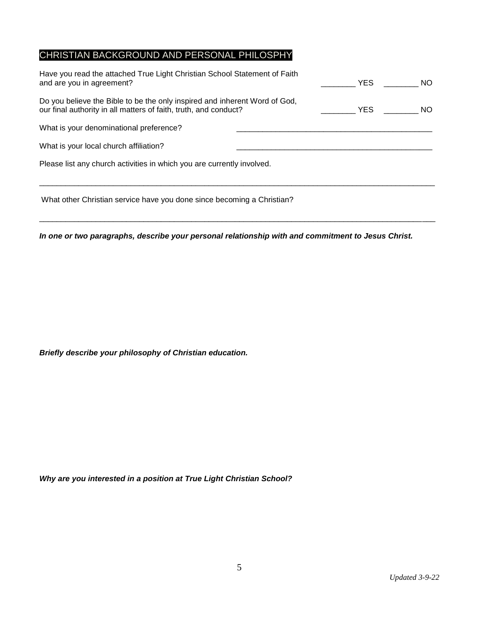# CHRISTIAN BACKGROUND AND PERSONAL PHILOSPHY

| Have you read the attached True Light Christian School Statement of Faith<br>and are you in agreement?                                         | <b>YES</b> | NO. |
|------------------------------------------------------------------------------------------------------------------------------------------------|------------|-----|
| Do you believe the Bible to be the only inspired and inherent Word of God,<br>our final authority in all matters of faith, truth, and conduct? | <b>YES</b> | NO. |
| What is your denominational preference?                                                                                                        |            |     |
| What is your local church affiliation?                                                                                                         |            |     |
| Please list any church activities in which you are currently involved.                                                                         |            |     |
|                                                                                                                                                |            |     |

What other Christian service have you done since becoming a Christian?

*In one or two paragraphs, describe your personal relationship with and commitment to Jesus Christ.*

 $\_$  ,  $\_$  ,  $\_$  ,  $\_$  ,  $\_$  ,  $\_$  ,  $\_$  ,  $\_$  ,  $\_$  ,  $\_$  ,  $\_$  ,  $\_$  ,  $\_$  ,  $\_$  ,  $\_$  ,  $\_$  ,  $\_$  ,  $\_$  ,  $\_$  ,  $\_$  ,  $\_$  ,  $\_$  ,  $\_$  ,  $\_$  ,  $\_$  ,  $\_$  ,  $\_$  ,  $\_$  ,  $\_$  ,  $\_$  ,  $\_$  ,  $\_$  ,  $\_$  ,  $\_$  ,  $\_$  ,  $\_$  ,  $\_$  ,

*Briefly describe your philosophy of Christian education.*

*Why are you interested in a position at True Light Christian School?*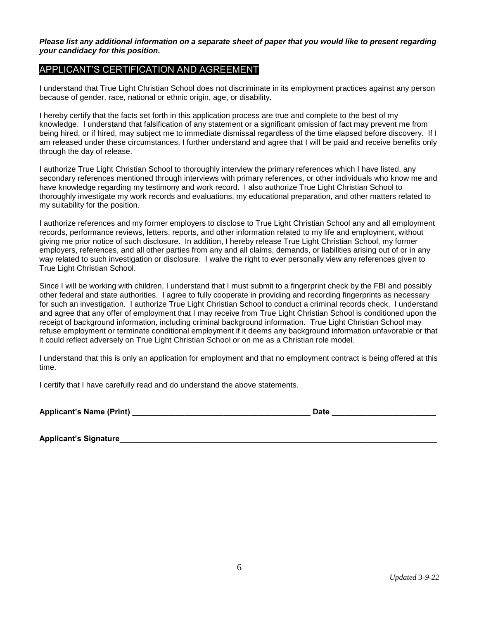*Please list any additional information on a separate sheet of paper that you would like to present regarding your candidacy for this position.*

### APPLICANT'S CERTIFICATION AND AGREEMENT

I understand that True Light Christian School does not discriminate in its employment practices against any person because of gender, race, national or ethnic origin, age, or disability.

I hereby certify that the facts set forth in this application process are true and complete to the best of my knowledge. I understand that falsification of any statement or a significant omission of fact may prevent me from being hired, or if hired, may subject me to immediate dismissal regardless of the time elapsed before discovery. If I am released under these circumstances, I further understand and agree that I will be paid and receive benefits only through the day of release.

I authorize True Light Christian School to thoroughly interview the primary references which I have listed, any secondary references mentioned through interviews with primary references, or other individuals who know me and have knowledge regarding my testimony and work record. I also authorize True Light Christian School to thoroughly investigate my work records and evaluations, my educational preparation, and other matters related to my suitability for the position.

I authorize references and my former employers to disclose to True Light Christian School any and all employment records, performance reviews, letters, reports, and other information related to my life and employment, without giving me prior notice of such disclosure. In addition, I hereby release True Light Christian School, my former employers, references, and all other parties from any and all claims, demands, or liabilities arising out of or in any way related to such investigation or disclosure. I waive the right to ever personally view any references given to True Light Christian School.

Since I will be working with children, I understand that I must submit to a fingerprint check by the FBI and possibly other federal and state authorities. I agree to fully cooperate in providing and recording fingerprints as necessary for such an investigation. I authorize True Light Christian School to conduct a criminal records check. I understand and agree that any offer of employment that I may receive from True Light Christian School is conditioned upon the receipt of background information, including criminal background information. True Light Christian School may refuse employment or terminate conditional employment if it deems any background information unfavorable or that it could reflect adversely on True Light Christian School or on me as a Christian role model.

I understand that this is only an application for employment and that no employment contract is being offered at this time.

I certify that I have carefully read and do understand the above statements.

| Applicant's Name (Print) |
|--------------------------|
|--------------------------|

**Date**  $\blacksquare$ 

**Applicant's Signature\_\_\_\_\_\_\_\_\_\_\_\_\_\_\_\_\_\_\_\_\_\_\_\_\_\_\_\_\_\_\_\_\_\_\_\_\_\_\_\_\_\_\_\_\_\_\_\_\_\_\_\_\_\_\_\_\_\_\_\_\_\_\_\_\_\_\_\_\_\_\_\_\_**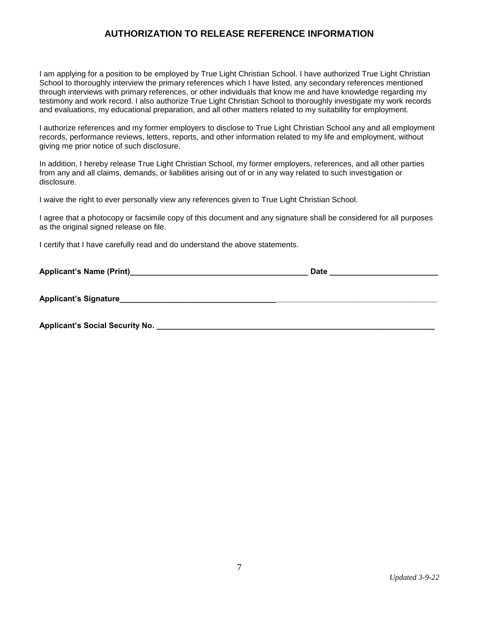# **AUTHORIZATION TO RELEASE REFERENCE INFORMATION**

I am applying for a position to be employed by True Light Christian School. I have authorized True Light Christian School to thoroughly interview the primary references which I have listed, any secondary references mentioned through interviews with primary references, or other individuals that know me and have knowledge regarding my testimony and work record. I also authorize True Light Christian School to thoroughly investigate my work records and evaluations, my educational preparation, and all other matters related to my suitability for employment.

I authorize references and my former employers to disclose to True Light Christian School any and all employment records, performance reviews, letters, reports, and other information related to my life and employment, without giving me prior notice of such disclosure.

In addition, I hereby release True Light Christian School, my former employers, references, and all other parties from any and all claims, demands, or liabilities arising out of or in any way related to such investigation or disclosure.

I waive the right to ever personally view any references given to True Light Christian School.

I agree that a photocopy or facsimile copy of this document and any signature shall be considered for all purposes as the original signed release on file.

I certify that I have carefully read and do understand the above statements.

|                                        | <b>Date</b> |  |
|----------------------------------------|-------------|--|
| <b>Applicant's Signature</b>           |             |  |
| <b>Applicant's Social Security No.</b> |             |  |